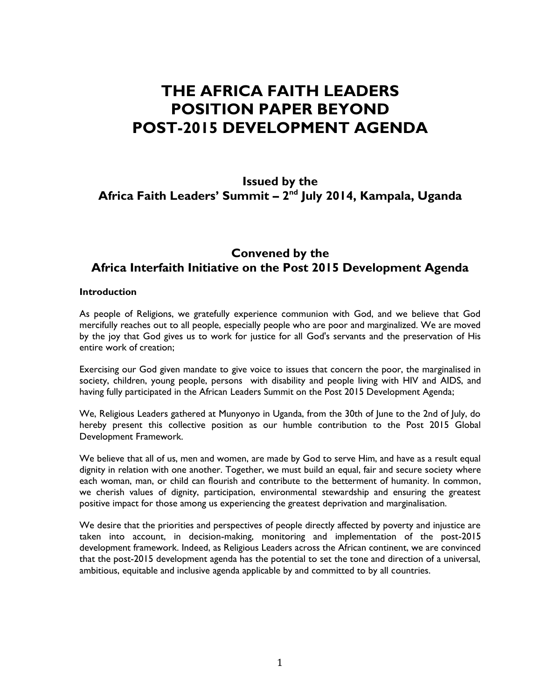# **THE AFRICA FAITH LEADERS POSITION PAPER BEYOND POST-2015 DEVELOPMENT AGENDA**

# **Issued by the Africa Faith Leaders' Summit – 2 nd July 2014, Kampala, Uganda**

# **Convened by the Africa Interfaith Initiative on the Post 2015 Development Agenda**

#### **Introduction**

As people of Religions, we gratefully experience communion with God, and we believe that God mercifully reaches out to all people, especially people who are poor and marginalized. We are moved by the joy that God gives us to work for justice for all God's servants and the preservation of His entire work of creation;

Exercising our God given mandate to give voice to issues that concern the poor, the marginalised in society, children, young people, persons with disability and people living with HIV and AIDS, and having fully participated in the African Leaders Summit on the Post 2015 Development Agenda;

We, Religious Leaders gathered at Munyonyo in Uganda, from the 30th of June to the 2nd of July, do hereby present this collective position as our humble contribution to the Post 2015 Global Development Framework.

We believe that all of us, men and women, are made by God to serve Him, and have as a result equal dignity in relation with one another. Together, we must build an equal, fair and secure society where each woman, man, or child can flourish and contribute to the betterment of humanity. In common, we cherish values of dignity, participation, environmental stewardship and ensuring the greatest positive impact for those among us experiencing the greatest deprivation and marginalisation.

We desire that the priorities and perspectives of people directly affected by poverty and injustice are taken into account, in decision-making, monitoring and implementation of the post-2015 development framework. Indeed, as Religious Leaders across the African continent, we are convinced that the post-2015 development agenda has the potential to set the tone and direction of a universal, ambitious, equitable and inclusive agenda applicable by and committed to by all countries.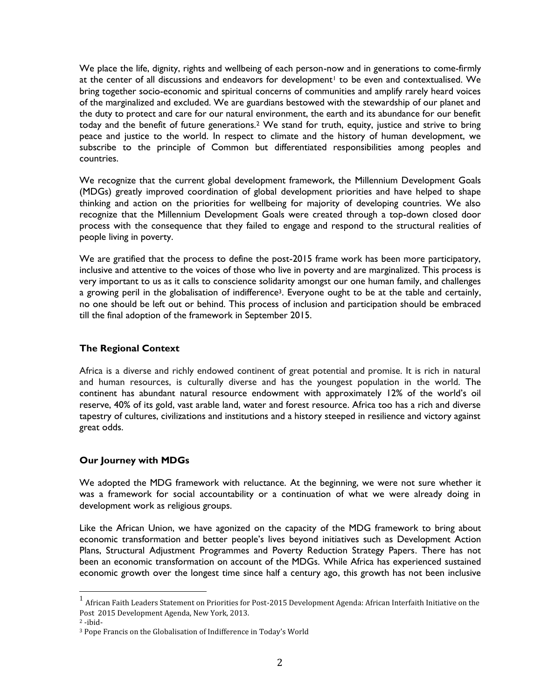We place the life, dignity, rights and wellbeing of each person-now and in generations to come-firmly at the center of all discussions and endeavors for development<sup>1</sup> to be even and contextualised. We bring together socio-economic and spiritual concerns of communities and amplify rarely heard voices of the marginalized and excluded. We are guardians bestowed with the stewardship of our planet and the duty to protect and care for our natural environment, the earth and its abundance for our benefit today and the benefit of future generations.<sup>2</sup> We stand for truth, equity, justice and strive to bring peace and justice to the world. In respect to climate and the history of human development, we subscribe to the principle of Common but differentiated responsibilities among peoples and countries.

We recognize that the current global development framework, the Millennium Development Goals (MDGs) greatly improved coordination of global development priorities and have helped to shape thinking and action on the priorities for wellbeing for majority of developing countries. We also recognize that the Millennium Development Goals were created through a top-down closed door process with the consequence that they failed to engage and respond to the structural realities of people living in poverty.

We are gratified that the process to define the post-2015 frame work has been more participatory, inclusive and attentive to the voices of those who live in poverty and are marginalized. This process is very important to us as it calls to conscience solidarity amongst our one human family, and challenges a growing peril in the globalisation of indifference<sup>3</sup>. Everyone ought to be at the table and certainly, no one should be left out or behind. This process of inclusion and participation should be embraced till the final adoption of the framework in September 2015.

#### **The Regional Context**

Africa is a diverse and richly endowed continent of great potential and promise. It is rich in natural and human resources, is culturally diverse and has the youngest population in the world. The continent has abundant natural resource endowment with approximately 12% of the world's oil reserve, 40% of its gold, vast arable land, water and forest resource. Africa too has a rich and diverse tapestry of cultures, civilizations and institutions and a history steeped in resilience and victory against great odds.

#### **Our Journey with MDGs**

We adopted the MDG framework with reluctance. At the beginning, we were not sure whether it was a framework for social accountability or a continuation of what we were already doing in development work as religious groups.

Like the African Union, we have agonized on the capacity of the MDG framework to bring about economic transformation and better people's lives beyond initiatives such as Development Action Plans, Structural Adjustment Programmes and Poverty Reduction Strategy Papers. There has not been an economic transformation on account of the MDGs. While Africa has experienced sustained economic growth over the longest time since half a century ago, this growth has not been inclusive

 $^{\rm 1}$  African Faith Leaders Statement on Priorities for Post-2015 Development Agenda: African Interfaith Initiative on the Post 2015 Development Agenda, New York, 2013.

<sup>2</sup> -ibid-

<sup>3</sup> Pope Francis on the Globalisation of Indifference in Today's World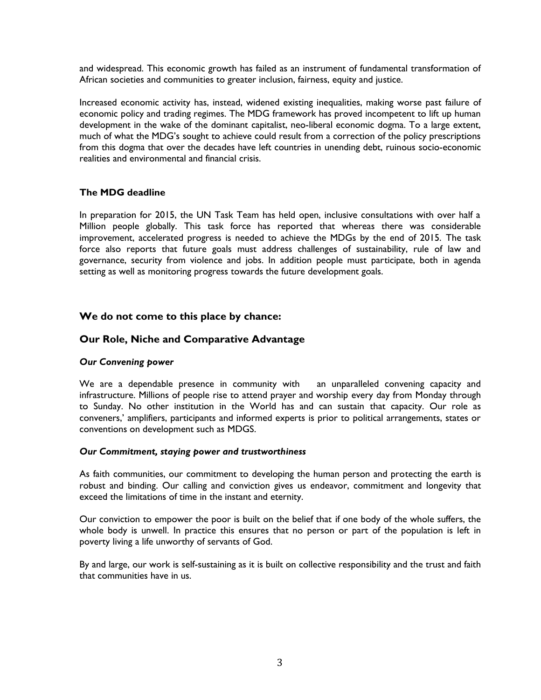and widespread. This economic growth has failed as an instrument of fundamental transformation of African societies and communities to greater inclusion, fairness, equity and justice.

Increased economic activity has, instead, widened existing inequalities, making worse past failure of economic policy and trading regimes. The MDG framework has proved incompetent to lift up human development in the wake of the dominant capitalist, neo-liberal economic dogma. To a large extent, much of what the MDG's sought to achieve could result from a correction of the policy prescriptions from this dogma that over the decades have left countries in unending debt, ruinous socio-economic realities and environmental and financial crisis.

## **The MDG deadline**

In preparation for 2015, the UN Task Team has held open, inclusive consultations with over half a Million people globally. This task force has reported that whereas there was considerable improvement, accelerated progress is needed to achieve the MDGs by the end of 2015. The task force also reports that future goals must address challenges of sustainability, rule of law and governance, security from violence and jobs. In addition people must participate, both in agenda setting as well as monitoring progress towards the future development goals.

# **We do not come to this place by chance:**

## **Our Role, Niche and Comparative Advantage**

#### *Our Convening power*

We are a dependable presence in community with an unparalleled convening capacity and infrastructure. Millions of people rise to attend prayer and worship every day from Monday through to Sunday. No other institution in the World has and can sustain that capacity. Our role as conveners,' amplifiers, participants and informed experts is prior to political arrangements, states or conventions on development such as MDGS.

#### *Our Commitment, staying power and trustworthiness*

As faith communities, our commitment to developing the human person and protecting the earth is robust and binding. Our calling and conviction gives us endeavor, commitment and longevity that exceed the limitations of time in the instant and eternity.

Our conviction to empower the poor is built on the belief that if one body of the whole suffers, the whole body is unwell. In practice this ensures that no person or part of the population is left in poverty living a life unworthy of servants of God.

By and large, our work is self-sustaining as it is built on collective responsibility and the trust and faith that communities have in us.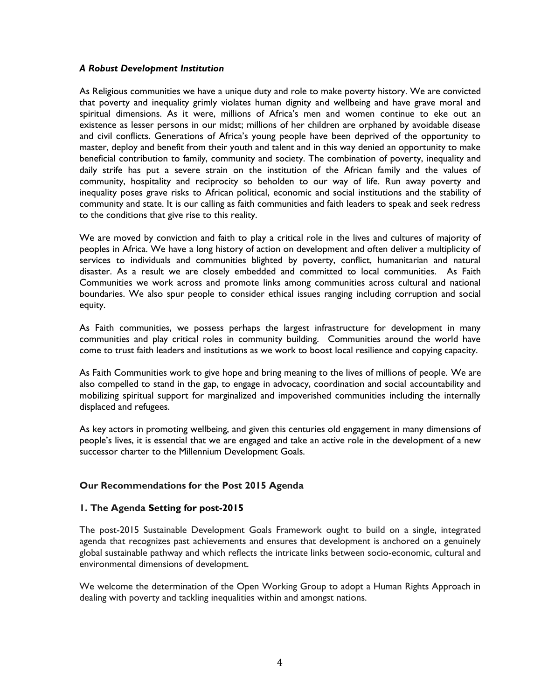#### *A Robust Development Institution*

As Religious communities we have a unique duty and role to make poverty history. We are convicted that poverty and inequality grimly violates human dignity and wellbeing and have grave moral and spiritual dimensions. As it were, millions of Africa's men and women continue to eke out an existence as lesser persons in our midst; millions of her children are orphaned by avoidable disease and civil conflicts. Generations of Africa's young people have been deprived of the opportunity to master, deploy and benefit from their youth and talent and in this way denied an opportunity to make beneficial contribution to family, community and society. The combination of poverty, inequality and daily strife has put a severe strain on the institution of the African family and the values of community, hospitality and reciprocity so beholden to our way of life. Run away poverty and inequality poses grave risks to African political, economic and social institutions and the stability of community and state. It is our calling as faith communities and faith leaders to speak and seek redress to the conditions that give rise to this reality.

We are moved by conviction and faith to play a critical role in the lives and cultures of majority of peoples in Africa. We have a long history of action on development and often deliver a multiplicity of services to individuals and communities blighted by poverty, conflict, humanitarian and natural disaster. As a result we are closely embedded and committed to local communities. As Faith Communities we work across and promote links among communities across cultural and national boundaries. We also spur people to consider ethical issues ranging including corruption and social equity.

As Faith communities, we possess perhaps the largest infrastructure for development in many communities and play critical roles in community building. Communities around the world have come to trust faith leaders and institutions as we work to boost local resilience and copying capacity.

As Faith Communities work to give hope and bring meaning to the lives of millions of people. We are also compelled to stand in the gap, to engage in advocacy, coordination and social accountability and mobilizing spiritual support for marginalized and impoverished communities including the internally displaced and refugees.

As key actors in promoting wellbeing, and given this centuries old engagement in many dimensions of people's lives, it is essential that we are engaged and take an active role in the development of a new successor charter to the Millennium Development Goals.

# **Our Recommendations for the Post 2015 Agenda**

#### **1. The Agenda Setting for post-2015**

The post-2015 Sustainable Development Goals Framework ought to build on a single, integrated agenda that recognizes past achievements and ensures that development is anchored on a genuinely global sustainable pathway and which reflects the intricate links between socio-economic, cultural and environmental dimensions of development.

We welcome the determination of the Open Working Group to adopt a Human Rights Approach in dealing with poverty and tackling inequalities within and amongst nations.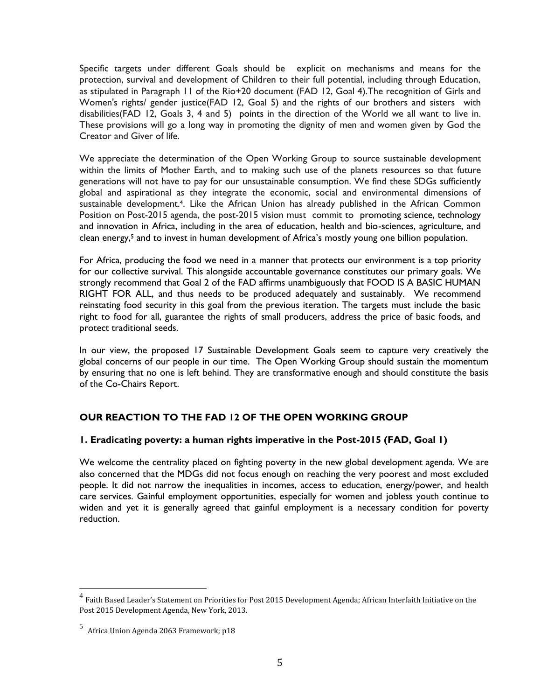Specific targets under different Goals should be explicit on mechanisms and means for the protection, survival and development of Children to their full potential, including through Education, as stipulated in Paragraph 11 of the Rio+20 document (FAD 12, Goal 4).The recognition of Girls and Women's rights/ gender justice(FAD 12, Goal 5) and the rights of our brothers and sisters with disabilities(FAD 12, Goals 3, 4 and 5) points in the direction of the World we all want to live in. These provisions will go a long way in promoting the dignity of men and women given by God the Creator and Giver of life.

We appreciate the determination of the Open Working Group to source sustainable development within the limits of Mother Earth, and to making such use of the planets resources so that future generations will not have to pay for our unsustainable consumption. We find these SDGs sufficiently global and aspirational as they integrate the economic, social and environmental dimensions of sustainable development.<sup>4</sup>. Like the African Union has already published in the African Common Position on Post-2015 agenda, the post-2015 vision must commit to promoting science, technology and innovation in Africa, including in the area of education, health and bio-sciences, agriculture, and clean energy,<sup>5</sup> and to invest in human development of Africa's mostly young one billion population.

For Africa, producing the food we need in a manner that protects our environment is a top priority for our collective survival. This alongside accountable governance constitutes our primary goals. We strongly recommend that Goal 2 of the FAD affirms unambiguously that FOOD IS A BASIC HUMAN RIGHT FOR ALL, and thus needs to be produced adequately and sustainably. We recommend reinstating food security in this goal from the previous iteration. The targets must include the basic right to food for all, guarantee the rights of small producers, address the price of basic foods, and protect traditional seeds.

In our view, the proposed 17 Sustainable Development Goals seem to capture very creatively the global concerns of our people in our time. The Open Working Group should sustain the momentum by ensuring that no one is left behind. They are transformative enough and should constitute the basis of the Co-Chairs Report.

# **OUR REACTION TO THE FAD 12 OF THE OPEN WORKING GROUP**

# **1. Eradicating poverty: a human rights imperative in the Post-2015 (FAD, Goal 1)**

We welcome the centrality placed on fighting poverty in the new global development agenda. We are also concerned that the MDGs did not focus enough on reaching the very poorest and most excluded people. It did not narrow the inequalities in incomes, access to education, energy/power, and health care services. Gainful employment opportunities, especially for women and jobless youth continue to widen and yet it is generally agreed that gainful employment is a necessary condition for poverty reduction.

<sup>&</sup>lt;sup>4</sup> Faith Based Leader's Statement on Priorities for Post 2015 Development Agenda; African Interfaith Initiative on the Post 2015 Development Agenda, New York, 2013.

<sup>5</sup> Africa Union Agenda 2063 Framework; p18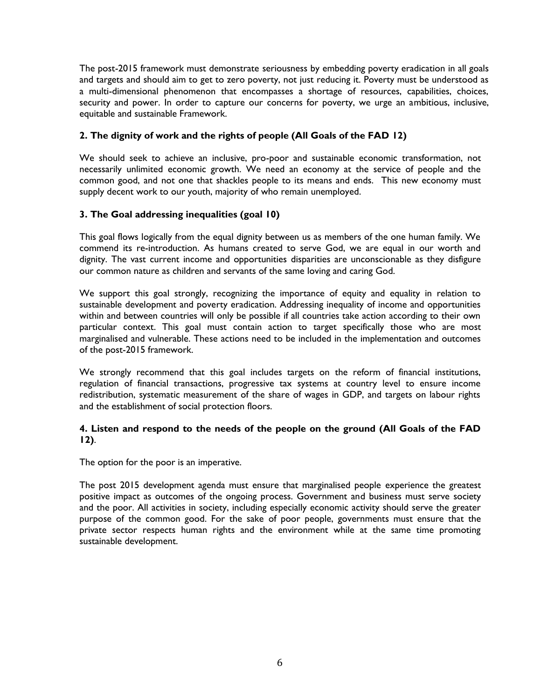The post-2015 framework must demonstrate seriousness by embedding poverty eradication in all goals and targets and should aim to get to zero poverty, not just reducing it. Poverty must be understood as a multi-dimensional phenomenon that encompasses a shortage of resources, capabilities, choices, security and power. In order to capture our concerns for poverty, we urge an ambitious, inclusive, equitable and sustainable Framework.

# **2. The dignity of work and the rights of people (All Goals of the FAD 12)**

We should seek to achieve an inclusive, pro-poor and sustainable economic transformation, not necessarily unlimited economic growth. We need an economy at the service of people and the common good, and not one that shackles people to its means and ends. This new economy must supply decent work to our youth, majority of who remain unemployed.

# **3. The Goal addressing inequalities (goal 10)**

This goal flows logically from the equal dignity between us as members of the one human family. We commend its re-introduction. As humans created to serve God, we are equal in our worth and dignity. The vast current income and opportunities disparities are unconscionable as they disfigure our common nature as children and servants of the same loving and caring God.

We support this goal strongly, recognizing the importance of equity and equality in relation to sustainable development and poverty eradication. Addressing inequality of income and opportunities within and between countries will only be possible if all countries take action according to their own particular context. This goal must contain action to target specifically those who are most marginalised and vulnerable. These actions need to be included in the implementation and outcomes of the post-2015 framework.

We strongly recommend that this goal includes targets on the reform of financial institutions, regulation of financial transactions, progressive tax systems at country level to ensure income redistribution, systematic measurement of the share of wages in GDP, and targets on labour rights and the establishment of social protection floors.

# **4. Listen and respond to the needs of the people on the ground (All Goals of the FAD 12)**.

The option for the poor is an imperative.

The post 2015 development agenda must ensure that marginalised people experience the greatest positive impact as outcomes of the ongoing process. Government and business must serve society and the poor. All activities in society, including especially economic activity should serve the greater purpose of the common good. For the sake of poor people, governments must ensure that the private sector respects human rights and the environment while at the same time promoting sustainable development.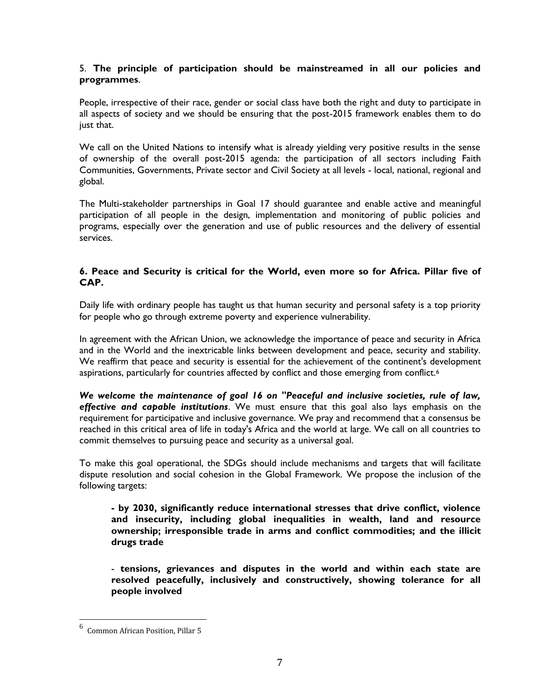# 5. **The principle of participation should be mainstreamed in all our policies and programmes**.

People, irrespective of their race, gender or social class have both the right and duty to participate in all aspects of society and we should be ensuring that the post-2015 framework enables them to do just that.

We call on the United Nations to intensify what is already yielding very positive results in the sense of ownership of the overall post-2015 agenda: the participation of all sectors including Faith Communities, Governments, Private sector and Civil Society at all levels - local, national, regional and global.

The Multi-stakeholder partnerships in Goal 17 should guarantee and enable active and meaningful participation of all people in the design, implementation and monitoring of public policies and programs, especially over the generation and use of public resources and the delivery of essential services.

# **6. Peace and Security is critical for the World, even more so for Africa. Pillar five of CAP.**

Daily life with ordinary people has taught us that human security and personal safety is a top priority for people who go through extreme poverty and experience vulnerability.

In agreement with the African Union, we acknowledge the importance of peace and security in Africa and in the World and the inextricable links between development and peace, security and stability. We reaffirm that peace and security is essential for the achievement of the continent's development aspirations, particularly for countries affected by conflict and those emerging from conflict.<sup>6</sup>

*We welcome the maintenance of goal 16 on "Peaceful and inclusive societies, rule of law, effective and capable institutions*. We must ensure that this goal also lays emphasis on the requirement for participative and inclusive governance. We pray and recommend that a consensus be reached in this critical area of life in today's Africa and the world at large. We call on all countries to commit themselves to pursuing peace and security as a universal goal.

To make this goal operational, the SDGs should include mechanisms and targets that will facilitate dispute resolution and social cohesion in the Global Framework. We propose the inclusion of the following targets:

**- by 2030, significantly reduce international stresses that drive conflict, violence and insecurity, including global inequalities in wealth, land and resource ownership; irresponsible trade in arms and conflict commodities; and the illicit drugs trade**

- **tensions, grievances and disputes in the world and within each state are resolved peacefully, inclusively and constructively, showing tolerance for all people involved**

<sup>6</sup> Common African Position, Pillar 5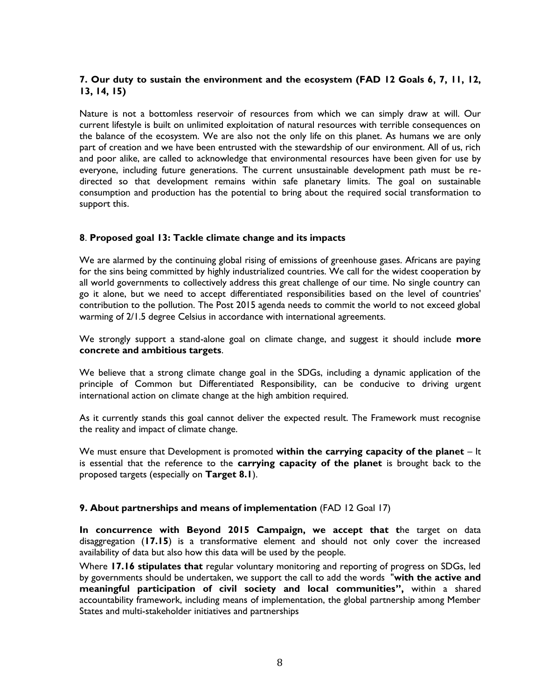# **7. Our duty to sustain the environment and the ecosystem (FAD 12 Goals 6, 7, 11, 12, 13, 14, 15)**

Nature is not a bottomless reservoir of resources from which we can simply draw at will. Our current lifestyle is built on unlimited exploitation of natural resources with terrible consequences on the balance of the ecosystem. We are also not the only life on this planet. As humans we are only part of creation and we have been entrusted with the stewardship of our environment. All of us, rich and poor alike, are called to acknowledge that environmental resources have been given for use by everyone, including future generations. The current unsustainable development path must be re directed so that development remains within safe planetary limits. The goal on sustainable consumption and production has the potential to bring about the required social transformation to support this.

#### **8**. **Proposed goal 13: Tackle climate change and its impacts**

We are alarmed by the continuing global rising of emissions of greenhouse gases. Africans are paying for the sins being committed by highly industrialized countries. We call for the widest cooperation by all world governments to collectively address this great challenge of our time. No single country can go it alone, but we need to accept differentiated responsibilities based on the level of countries' contribution to the pollution. The Post 2015 agenda needs to commit the world to not exceed global warming of 2/1.5 degree Celsius in accordance with international agreements.

We strongly support a stand-alone goal on climate change, and suggest it should include **more concrete and ambitious targets**.

We believe that a strong climate change goal in the SDGs, including a dynamic application of the principle of Common but Differentiated Responsibility, can be conducive to driving urgent international action on climate change at the high ambition required.

As it currently stands this goal cannot deliver the expected result. The Framework must recognise the reality and impact of climate change.

We must ensure that Development is promoted **within the carrying capacity of the planet** – It is essential that the reference to the **carrying capacity of the planet** is brought back to the proposed targets (especially on **Target 8.1**).

#### **9. About partnerships and means of implementation** (FAD 12 Goal 17)

**In concurrence with Beyond 2015 Campaign, we accept that t**he target on data disaggregation (**17.15**) is a transformative element and should not only cover the increased availability of data but also how this data will be used by the people.

Where **17.16 stipulates that** regular voluntary monitoring and reporting of progress on SDGs, led by governments should be undertaken, we support the call to add the words "**with the active and meaningful participation of civil society and local communities",** within a shared accountability framework, including means of implementation, the global partnership among Member States and multi-stakeholder initiatives and partnerships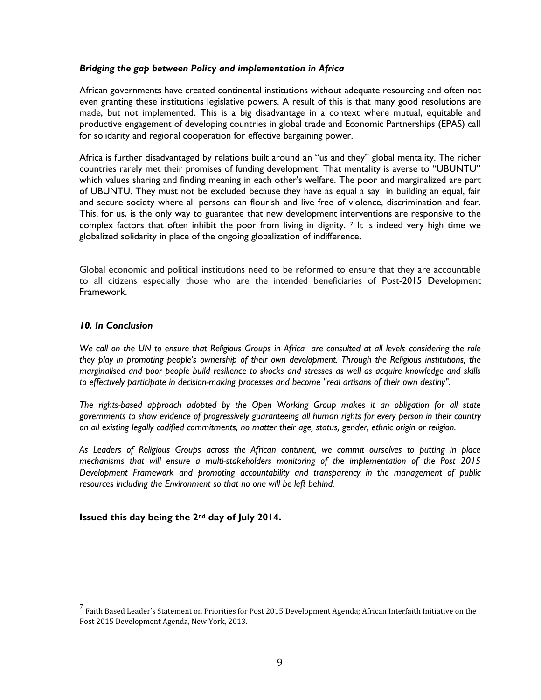#### *Bridging the gap between Policy and implementation in Africa*

African governments have created continental institutions without adequate resourcing and often not even granting these institutions legislative powers. A result of this is that many good resolutions are made, but not implemented. This is a big disadvantage in a context where mutual, equitable and productive engagement of developing countries in global trade and Economic Partnerships (EPAS) call for solidarity and regional cooperation for effective bargaining power.

Africa is further disadvantaged by relations built around an "us and they" global mentality. The richer countries rarely met their promises of funding development. That mentality is averse to "UBUNTU" which values sharing and finding meaning in each other's welfare. The poor and marginalized are part of UBUNTU. They must not be excluded because they have as equal a say in building an equal, fair and secure society where all persons can flourish and live free of violence, discrimination and fear. This, for us, is the only way to guarantee that new development interventions are responsive to the complex factors that often inhibit the poor from living in dignity.  $\frac{7}{1}$  It is indeed very high time we globalized solidarity in place of the ongoing globalization of indifference.

Global economic and political institutions need to be reformed to ensure that they are accountable to all citizens especially those who are the intended beneficiaries of Post-2015 Development Framework.

#### *10. In Conclusion*

*We call on the UN to ensure that Religious Groups in Africa are consulted at all levels considering the role they play in promoting people's ownership of their own development. Through the Religious institutions, the marginalised and poor people build resilience to shocks and stresses as well as acquire knowledge and skills to effectively participate in decision-making processes and become "real artisans of their own destiny".*

*The rights-based approach adopted by the Open Working Group makes it an obligation for all state governments to show evidence of progressively guaranteeing all human rights for every person in their country on all existing legally codified commitments, no matter their age, status, gender, ethnic origin or religion.*

*As Leaders of Religious Groups across the African continent, we commit ourselves to putting in place mechanisms that will ensure a multi-stakeholders monitoring of the implementation of the Post 2015 Development Framework and promoting accountability and transparency in the management of public resources including the Environment so that no one will be left behind.*

#### **Issued this day being the 2nd day of July 2014.**

 $^7$  Faith Based Leader's Statement on Priorities for Post 2015 Development Agenda; African Interfaith Initiative on the Post 2015 Development Agenda, New York, 2013.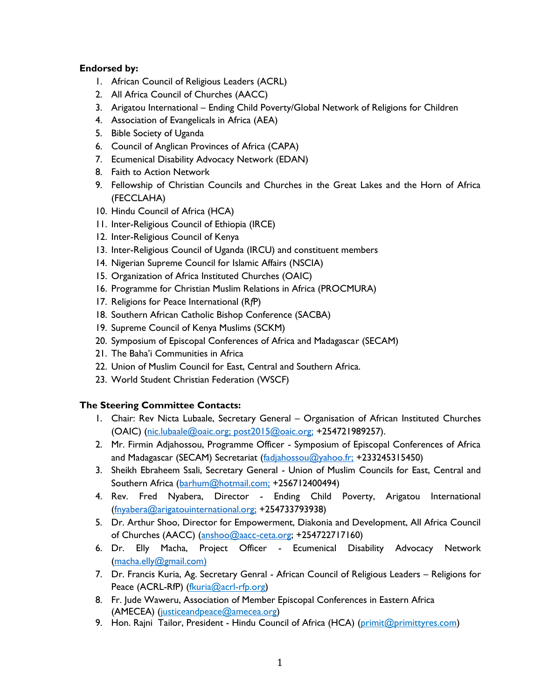# **Endorsed by:**

- 1. African Council of Religious Leaders (ACRL)
- 2. All Africa Council of Churches (AACC)
- 3. Arigatou International Ending Child Poverty/Global Network of Religions for Children
- 4. Association of Evangelicals in Africa (AEA)
- 5. Bible Society of Uganda
- 6. Council of Anglican Provinces of Africa (CAPA)
- 7. Ecumenical Disability Advocacy Network (EDAN)
- 8. Faith to Action Network
- 9. Fellowship of Christian Councils and Churches in the Great Lakes and the Horn of Africa (FECCLAHA)
- 10. Hindu Council of Africa (HCA)
- 11. Inter-Religious Council of Ethiopia (IRCE)
- 12. Inter-Religious Council of Kenya
- 13. Inter-Religious Council of Uganda (IRCU) and constituent members
- 14. Nigerian Supreme Council for Islamic Affairs (NSCIA)
- 15. Organization of Africa Instituted Churches (OAIC)
- 16. Programme for Christian Muslim Relations in Africa (PROCMURA)
- 17. Religions for Peace International (R*f*P)
- 18. Southern African Catholic Bishop Conference (SACBA)
- 19. Supreme Council of Kenya Muslims (SCKM)
- 20. Symposium of Episcopal Conferences of Africa and Madagascar (SECAM)
- 21. The Baha'i Communities in Africa
- 22. Union of Muslim Council for East, Central and Southern Africa.
- 23. World Student Christian Federation (WSCF)

# **The Steering Committee Contacts:**

- 1. Chair: Rev Nicta Lubaale, Secretary General Organisation of African Instituted Churches (OAIC) (nic.lubaale@oaic.org; post2015@oaic.org; +254721989257).
- 2. Mr. Firmin Adjahossou, Programme Officer Symposium of Episcopal Conferences of Africa and Madagascar (SECAM) Secretariat (fadjahossou@yahoo.fr; +233245315450)
- 3. Sheikh Ebraheem Ssali, Secretary General Union of Muslim Councils for East, Central and Southern Africa (barhum@hotmail.com; +256712400494)
- 4. Rev. Fred Nyabera, Director Ending Child Poverty, Arigatou International (fnyabera@arigatouinternational.org; +254733793938)
- 5. Dr. Arthur Shoo, Director for Empowerment, Diakonia and Development, All Africa Council of Churches (AACC) (anshoo@aacc-ceta.org; +254722717160)
- 6. Dr. Elly Macha, Project Officer Ecumenical Disability Advocacy Network (macha.elly@gmail.com)
- 7. Dr. Francis Kuria, Ag. Secretary Genral African Council of Religious Leaders Religions for Peace (ACRL-RfP) (fkuria@acrl-rfp.org)
- 8. Fr. Jude Waweru, Association of Member Episcopal Conferences in Eastern Africa (AMECEA) (justiceandpeace@amecea.org)
- 9. Hon. Rajni Tailor, President Hindu Council of Africa (HCA) (primit@primittyres.com)